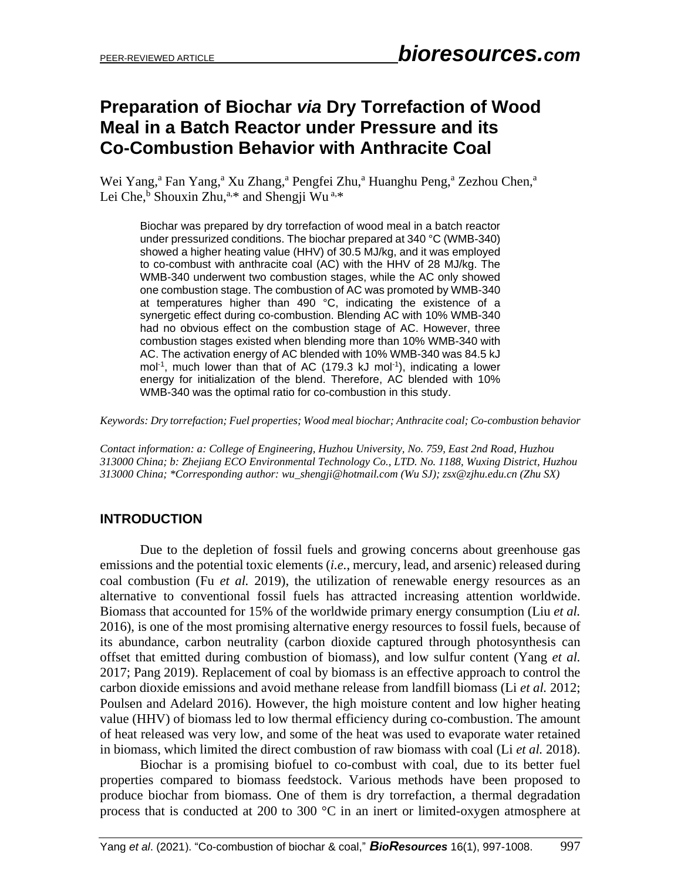# **Preparation of Biochar** *via* **Dry Torrefaction of Wood Meal in a Batch Reactor under Pressure and its Co-Combustion Behavior with Anthracite Coal**

Wei Yang,<sup>a</sup> Fan Yang,<sup>a</sup> Xu Zhang,<sup>a</sup> Pengfei Zhu,<sup>a</sup> Huanghu Peng,<sup>a</sup> Zezhou Chen,<sup>a</sup> Lei Che, <sup>b</sup> Shouxin Zhu,<sup>a,\*</sup> and Shengji Wu<sup>a,\*</sup>

Biochar was prepared by dry torrefaction of wood meal in a batch reactor under pressurized conditions. The biochar prepared at 340 °C (WMB-340) showed a higher heating value (HHV) of 30.5 MJ/kg, and it was employed to co-combust with anthracite coal (AC) with the HHV of 28 MJ/kg. The WMB-340 underwent two combustion stages, while the AC only showed one combustion stage. The combustion of AC was promoted by WMB-340 at temperatures higher than 490 °C, indicating the existence of a synergetic effect during co-combustion. Blending AC with 10% WMB-340 had no obvious effect on the combustion stage of AC. However, three combustion stages existed when blending more than 10% WMB-340 with AC. The activation energy of AC blended with 10% WMB-340 was 84.5 kJ mol<sup>-1</sup>, much lower than that of AC (179.3 kJ mol<sup>-1</sup>), indicating a lower energy for initialization of the blend. Therefore, AC blended with 10% WMB-340 was the optimal ratio for co-combustion in this study.

*Keywords: Dry torrefaction; Fuel properties; Wood meal biochar; Anthracite coal; Co-combustion behavior*

*Contact information: a: College of Engineering, Huzhou University, No. 759, East 2nd Road, Huzhou 313000 China; b: Zhejiang ECO Environmental Technology Co., LTD. No. 1188, Wuxing District, Huzhou 313000 China; \*Corresponding author: wu\_shengji@hotmail.com (Wu SJ); zsx@zjhu.edu.cn (Zhu SX)*

# **INTRODUCTION**

Due to the depletion of fossil fuels and growing concerns about greenhouse gas emissions and the potential toxic elements (*i.e.*, mercury, lead, and arsenic) released during coal combustion (Fu *et al.* 2019), the utilization of renewable energy resources as an alternative to conventional fossil fuels has attracted increasing attention worldwide. Biomass that accounted for 15% of the worldwide primary energy consumption (Liu *et al.* 2016), is one of the most promising alternative energy resources to fossil fuels, because of its abundance, carbon neutrality (carbon dioxide captured through photosynthesis can offset that emitted during combustion of biomass), and low sulfur content (Yang *et al.* 2017; Pang 2019). Replacement of coal by biomass is an effective approach to control the carbon dioxide emissions and avoid methane release from landfill biomass (Li *et al.* 2012; Poulsen and Adelard 2016). However, the high moisture content and low higher heating value (HHV) of biomass led to low thermal efficiency during co-combustion. The amount of heat released was very low, and some of the heat was used to evaporate water retained in biomass, which limited the direct combustion of raw biomass with coal (Li *et al.* 2018).

Biochar is a promising biofuel to co-combust with coal, due to its better fuel properties compared to biomass feedstock. Various methods have been proposed to produce biochar from biomass. One of them is dry torrefaction, a thermal degradation process that is conducted at 200 to 300 °C in an inert or limited-oxygen atmosphere at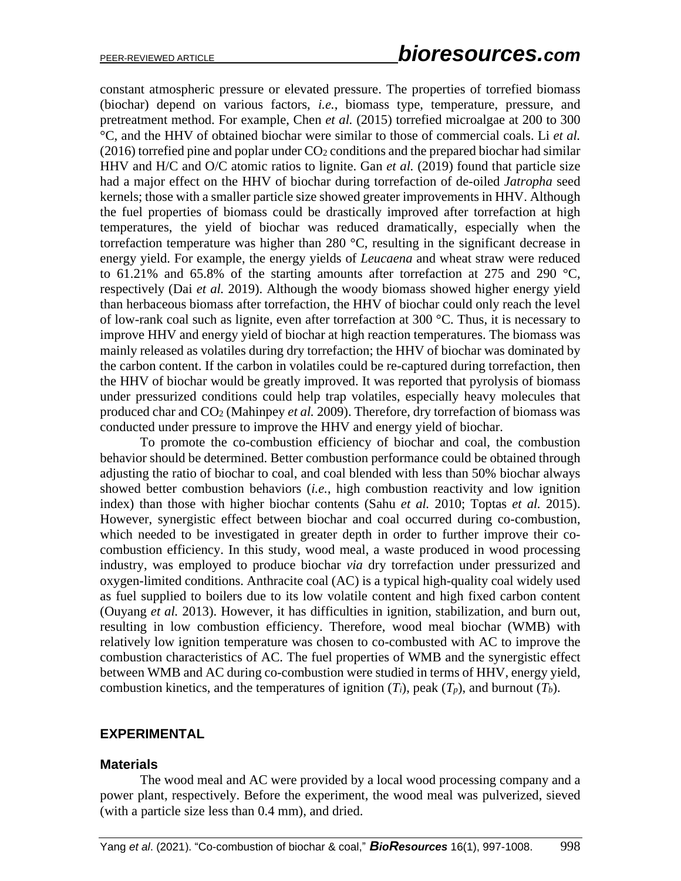constant atmospheric pressure or elevated pressure. The properties of torrefied biomass (biochar) depend on various factors, *i.e.*, biomass type, temperature, pressure, and pretreatment method. For example, Chen *et al.* (2015) torrefied microalgae at 200 to 300 °C, and the HHV of obtained biochar were similar to those of commercial coals. Li *et al.*  $(2016)$  torrefied pine and poplar under  $CO<sub>2</sub>$  conditions and the prepared biochar had similar HHV and H/C and O/C atomic ratios to lignite. Gan *et al.* (2019) found that particle size had a major effect on the HHV of biochar during torrefaction of de-oiled *Jatropha* seed kernels; those with a smaller particle size showed greater improvements in HHV. Although the fuel properties of biomass could be drastically improved after torrefaction at high temperatures, the yield of biochar was reduced dramatically, especially when the torrefaction temperature was higher than 280 °C, resulting in the significant decrease in energy yield. For example, the energy yields of *Leucaena* and wheat straw were reduced to 61.21% and 65.8% of the starting amounts after torrefaction at 275 and 290  $^{\circ}$ C, respectively (Dai *et al.* 2019). Although the woody biomass showed higher energy yield than herbaceous biomass after torrefaction, the HHV of biochar could only reach the level of low-rank coal such as lignite, even after torrefaction at  $300^{\circ}$ C. Thus, it is necessary to improve HHV and energy yield of biochar at high reaction temperatures. The biomass was mainly released as volatiles during dry torrefaction; the HHV of biochar was dominated by the carbon content. If the carbon in volatiles could be re-captured during torrefaction, then the HHV of biochar would be greatly improved. It was reported that pyrolysis of biomass under pressurized conditions could help trap volatiles, especially heavy molecules that produced char and CO<sup>2</sup> (Mahinpey *et al.* 2009). Therefore, dry torrefaction of biomass was conducted under pressure to improve the HHV and energy yield of biochar.

To promote the co-combustion efficiency of biochar and coal, the combustion behavior should be determined. Better combustion performance could be obtained through adjusting the ratio of biochar to coal, and coal blended with less than 50% biochar always showed better combustion behaviors (*i.e.*, high combustion reactivity and low ignition index) than those with higher biochar contents (Sahu *et al.* 2010; Toptas *et al.* 2015). However, synergistic effect between biochar and coal occurred during co-combustion, which needed to be investigated in greater depth in order to further improve their cocombustion efficiency. In this study, wood meal, a waste produced in wood processing industry, was employed to produce biochar *via* dry torrefaction under pressurized and oxygen-limited conditions. Anthracite coal (AC) is a typical high-quality coal widely used as fuel supplied to boilers due to its low volatile content and high fixed carbon content (Ouyang *et al.* 2013). However, it has difficulties in ignition, stabilization, and burn out, resulting in low combustion efficiency. Therefore, wood meal biochar (WMB) with relatively low ignition temperature was chosen to co-combusted with AC to improve the combustion characteristics of AC. The fuel properties of WMB and the synergistic effect between WMB and AC during co-combustion were studied in terms of HHV, energy yield, combustion kinetics, and the temperatures of ignition  $(T_i)$ , peak  $(T_p)$ , and burnout  $(T_b)$ .

# **EXPERIMENTAL**

# **Materials**

The wood meal and AC were provided by a local wood processing company and a power plant, respectively. Before the experiment, the wood meal was pulverized, sieved (with a particle size less than 0.4 mm), and dried.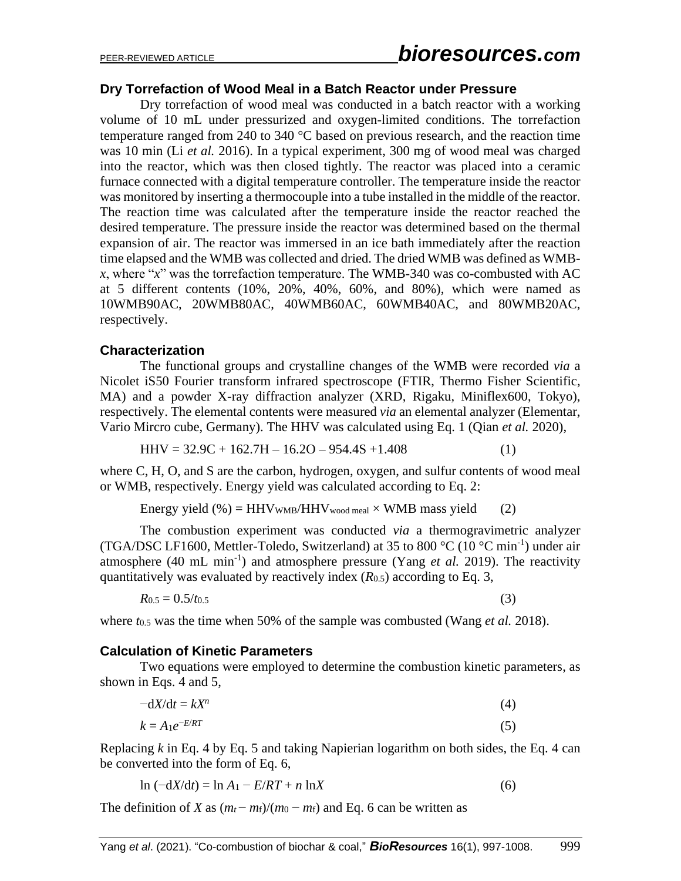# **Dry Torrefaction of Wood Meal in a Batch Reactor under Pressure**

Dry torrefaction of wood meal was conducted in a batch reactor with a working volume of 10 mL under pressurized and oxygen-limited conditions. The torrefaction temperature ranged from 240 to 340 °C based on previous research, and the reaction time was 10 min (Li *et al.* 2016). In a typical experiment, 300 mg of wood meal was charged into the reactor, which was then closed tightly. The reactor was placed into a ceramic furnace connected with a digital temperature controller. The temperature inside the reactor was monitored by inserting a thermocouple into a tube installed in the middle of the reactor. The reaction time was calculated after the temperature inside the reactor reached the desired temperature. The pressure inside the reactor was determined based on the thermal expansion of air. The reactor was immersed in an ice bath immediately after the reaction time elapsed and the WMB was collected and dried. The dried WMB was defined as WMB*x*, where "*x*" was the torrefaction temperature. The WMB-340 was co-combusted with AC at 5 different contents (10%, 20%, 40%, 60%, and 80%), which were named as 10WMB90AC, 20WMB80AC, 40WMB60AC, 60WMB40AC, and 80WMB20AC, respectively.

# **Characterization**

The functional groups and crystalline changes of the WMB were recorded *via* a Nicolet iS50 Fourier transform infrared spectroscope (FTIR, Thermo Fisher Scientific, MA) and a powder X-ray diffraction analyzer (XRD, Rigaku, Miniflex600, Tokyo), respectively. The elemental contents were measured *via* an elemental analyzer (Elementar, Vario Mircro cube, Germany). The HHV was calculated using Eq. 1 (Qian *et al.* 2020),

$$
HHV = 32.9C + 162.7H - 16.2O - 954.4S + 1.408
$$
 (1)

where C, H, O, and S are the carbon, hydrogen, oxygen, and sulfur contents of wood meal or WMB, respectively. Energy yield was calculated according to Eq. 2:

Energy yield  $%$  = HHVwMB/HHVwood meal  $\times$  WMB mass yield (2)

The combustion experiment was conducted *via* a thermogravimetric analyzer (TGA/DSC LF1600, Mettler-Toledo, Switzerland) at 35 to 800 °C (10 °C min<sup>-1</sup>) under air atmosphere  $(40 \text{ mL min}^{-1})$  and atmosphere pressure (Yang *et al.* 2019). The reactivity quantitatively was evaluated by reactively index (*R*0.5) according to Eq. 3,

$$
R_{0.5} = 0.5/t_{0.5} \tag{3}
$$

where *t*0.5 was the time when 50% of the sample was combusted (Wang *et al.* 2018).

# **Calculation of Kinetic Parameters**

Two equations were employed to determine the combustion kinetic parameters, as shown in Eqs. 4 and 5,

$$
-\mathrm{d}X/\mathrm{d}t = kX^n \tag{4}
$$

$$
k = A_1 e^{-E/RT} \tag{5}
$$

Replacing *k* in Eq. 4 by Eq. 5 and taking Napierian logarithm on both sides, the Eq. 4 can be converted into the form of Eq. 6,

$$
\ln\left(-\frac{dX}{dt}\right) = \ln A_1 - E/RT + n\ln X\tag{6}
$$

The definition of *X* as  $(m_t - m_f)/(m_0 - m_f)$  and Eq. 6 can be written as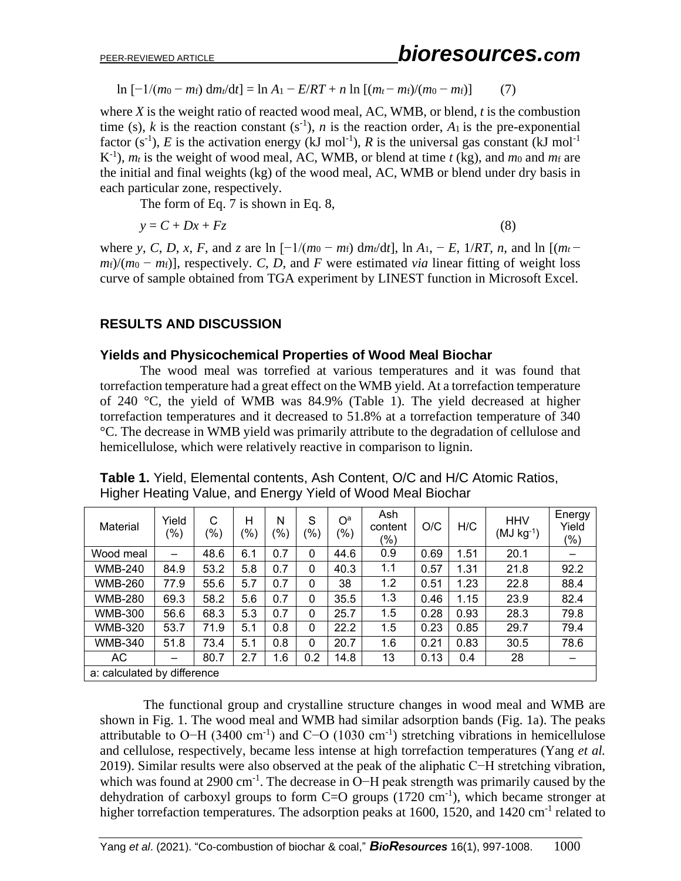$\ln \left[ -1/(m_0 - m_f) \frac{dm_t}{dt} \right] = \ln A_1 - \frac{E}{RT} + n \ln \left[ (m_t - m_f)/(m_0 - m_f) \right]$  (7)

where *X* is the weight ratio of reacted wood meal, AC, WMB, or blend, *t* is the combustion time (s), *k* is the reaction constant (s<sup>-1</sup>), *n* is the reaction order,  $A_1$  is the pre-exponential factor (s<sup>-1</sup>), *E* is the activation energy (kJ mol<sup>-1</sup>), *R* is the universal gas constant (kJ mol<sup>-1</sup>)  $K^{-1}$ ), *m<sub>t</sub>* is the weight of wood meal, AC, WMB, or blend at time *t* (kg), and *m*<sup>0</sup> and *m*<sup>f</sup> are the initial and final weights (kg) of the wood meal, AC, WMB or blend under dry basis in each particular zone, respectively.

The form of Eq. 7 is shown in Eq. 8,

$$
y = C + Dx + Fz \tag{8}
$$

where *y*, *C*, *D*, *x*, *F*, and *z* are ln [−1/(*m*<sup>0</sup> − *m*<sub>f</sub>)</sub> d*m*<sub>*t*</sub>/d*t*], ln *A*<sub>1</sub>, − *E*, 1/*RT*, *n*, and ln [(*m*<sub>*t*</sub> −  $m_f$ / $(m_0 - m_f)$ ], respectively. *C*, *D*, and *F* were estimated *via* linear fitting of weight loss curve of sample obtained from TGA experiment by LINEST function in Microsoft Excel.

# **RESULTS AND DISCUSSION**

# **Yields and Physicochemical Properties of Wood Meal Biochar**

The wood meal was torrefied at various temperatures and it was found that torrefaction temperature had a great effect on the WMB yield. At a torrefaction temperature of 240 °C, the yield of WMB was 84.9% (Table 1). The yield decreased at higher torrefaction temperatures and it decreased to 51.8% at a torrefaction temperature of 340 °C. The decrease in WMB yield was primarily attribute to the degradation of cellulose and hemicellulose, which were relatively reactive in comparison to lignin.

| Material                    | Yield<br>(%) | C<br>(%) | н<br>'%) | N<br>(%) | S<br>(%) | O <sup>a</sup><br>(% ) | Ash<br>content<br>$(\% )$ | O/C  | H/C  | <b>HHV</b><br>$(MJ kg-1)$ | Energy<br>Yield<br>$(\% )$ |
|-----------------------------|--------------|----------|----------|----------|----------|------------------------|---------------------------|------|------|---------------------------|----------------------------|
| Wood meal                   | —            | 48.6     | 6.1      | 0.7      | 0        | 44.6                   | 0.9                       | 0.69 | 1.51 | 20.1                      |                            |
| <b>WMB-240</b>              | 84.9         | 53.2     | 5.8      | 0.7      | 0        | 40.3                   | 1.1                       | 0.57 | 1.31 | 21.8                      | 92.2                       |
| <b>WMB-260</b>              | 77.9         | 55.6     | 5.7      | 0.7      | 0        | 38                     | 1.2                       | 0.51 | 1.23 | 22.8                      | 88.4                       |
| <b>WMB-280</b>              | 69.3         | 58.2     | 5.6      | 0.7      | $\Omega$ | 35.5                   | 1.3                       | 0.46 | 1.15 | 23.9                      | 82.4                       |
| <b>WMB-300</b>              | 56.6         | 68.3     | 5.3      | 0.7      | 0        | 25.7                   | 1.5                       | 0.28 | 0.93 | 28.3                      | 79.8                       |
| <b>WMB-320</b>              | 53.7         | 71.9     | 5.1      | 0.8      | 0        | 22.2                   | 1.5                       | 0.23 | 0.85 | 29.7                      | 79.4                       |
| <b>WMB-340</b>              | 51.8         | 73.4     | 5.1      | 0.8      | 0        | 20.7                   | 1.6                       | 0.21 | 0.83 | 30.5                      | 78.6                       |
| AC                          | —            | 80.7     | 2.7      | 1.6      | 0.2      | 14.8                   | 13                        | 0.13 | 0.4  | 28                        | -                          |
| a: calculated by difference |              |          |          |          |          |                        |                           |      |      |                           |                            |

**Table 1.** Yield, Elemental contents, Ash Content, O/C and H/C Atomic Ratios, Higher Heating Value, and Energy Yield of Wood Meal Biochar

The functional group and crystalline structure changes in wood meal and WMB are shown in Fig. 1. The wood meal and WMB had similar adsorption bands (Fig. 1a). The peaks attributable to O–H (3400 cm<sup>-1</sup>) and C–O (1030 cm<sup>-1</sup>) stretching vibrations in hemicellulose and cellulose, respectively, became less intense at high torrefaction temperatures (Yang *et al.* 2019). Similar results were also observed at the peak of the aliphatic C−H stretching vibration, which was found at 2900 cm<sup>-1</sup>. The decrease in O−H peak strength was primarily caused by the dehydration of carboxyl groups to form  $C=O$  groups (1720 cm<sup>-1</sup>), which became stronger at higher torrefaction temperatures. The adsorption peaks at 1600, 1520, and 1420 cm<sup>-1</sup> related to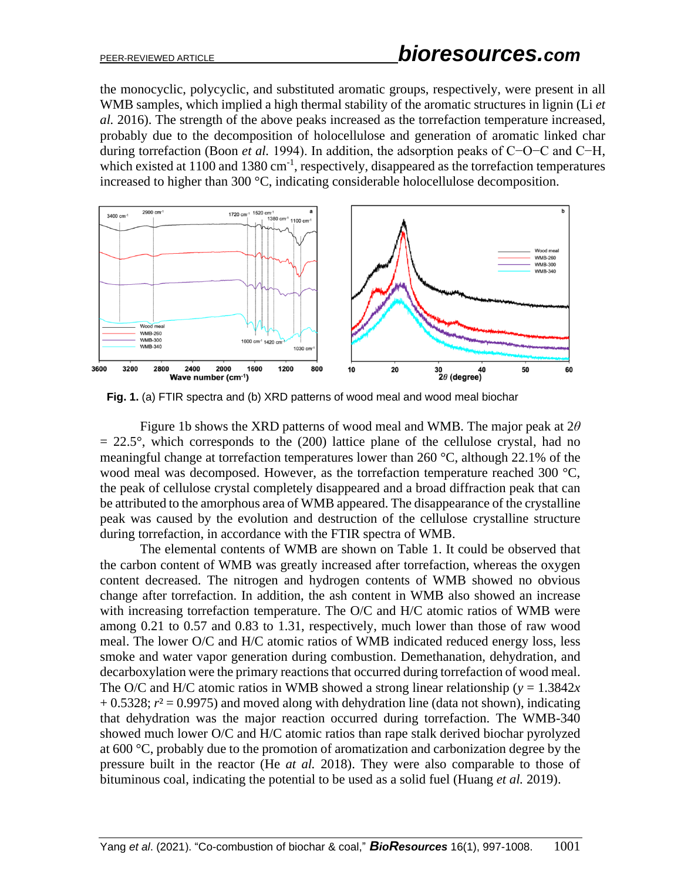the monocyclic, polycyclic, and substituted aromatic groups, respectively, were present in all WMB samples, which implied a high thermal stability of the aromatic structures in lignin (Li *et al.* 2016). The strength of the above peaks increased as the torrefaction temperature increased, probably due to the decomposition of holocellulose and generation of aromatic linked char during torrefaction (Boon *et al.* 1994). In addition, the adsorption peaks of C−O−C and C−H, which existed at  $1100$  and  $1380$  cm<sup>-1</sup>, respectively, disappeared as the torrefaction temperatures increased to higher than 300 °C, indicating considerable holocellulose decomposition.



**Fig. 1.** (a) FTIR spectra and (b) XRD patterns of wood meal and wood meal biochar

Figure 1b shows the XRD patterns of wood meal and WMB. The major peak at 2*θ*  $= 22.5^{\circ}$ , which corresponds to the (200) lattice plane of the cellulose crystal, had no meaningful change at torrefaction temperatures lower than 260 °C, although 22.1% of the wood meal was decomposed. However, as the torrefaction temperature reached 300 °C, the peak of cellulose crystal completely disappeared and a broad diffraction peak that can be attributed to the amorphous area of WMB appeared. The disappearance of the crystalline peak was caused by the evolution and destruction of the cellulose crystalline structure during torrefaction, in accordance with the FTIR spectra of WMB.

The elemental contents of WMB are shown on Table 1. It could be observed that the carbon content of WMB was greatly increased after torrefaction, whereas the oxygen content decreased. The nitrogen and hydrogen contents of WMB showed no obvious change after torrefaction. In addition, the ash content in WMB also showed an increase with increasing torrefaction temperature. The O/C and H/C atomic ratios of WMB were among 0.21 to 0.57 and 0.83 to 1.31, respectively, much lower than those of raw wood meal. The lower O/C and H/C atomic ratios of WMB indicated reduced energy loss, less smoke and water vapor generation during combustion. Demethanation, dehydration, and decarboxylation were the primary reactions that occurred during torrefaction of wood meal. The O/C and H/C atomic ratios in WMB showed a strong linear relationship ( $y = 1.3842x$ )  $+ 0.5328$ ;  $r^2 = 0.9975$ ) and moved along with dehydration line (data not shown), indicating that dehydration was the major reaction occurred during torrefaction. The WMB-340 showed much lower O/C and H/C atomic ratios than rape stalk derived biochar pyrolyzed at 600 °C, probably due to the promotion of aromatization and carbonization degree by the pressure built in the reactor (He *at al.* 2018). They were also comparable to those of bituminous coal, indicating the potential to be used as a solid fuel (Huang *et al.* 2019).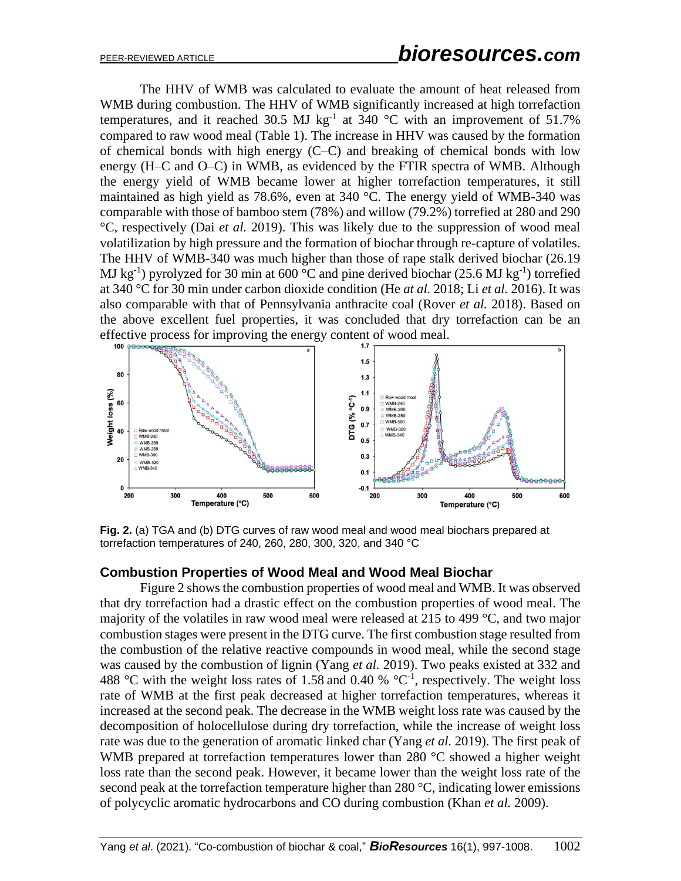The HHV of WMB was calculated to evaluate the amount of heat released from WMB during combustion. The HHV of WMB significantly increased at high torrefaction temperatures, and it reached 30.5 MJ kg<sup>-1</sup> at 340 °C with an improvement of 51.7% compared to raw wood meal (Table 1). The increase in HHV was caused by the formation of chemical bonds with high energy (C–C) and breaking of chemical bonds with low energy (H–C and O–C) in WMB, as evidenced by the FTIR spectra of WMB. Although the energy yield of WMB became lower at higher torrefaction temperatures, it still maintained as high yield as 78.6%, even at 340 °C. The energy yield of WMB-340 was comparable with those of bamboo stem (78%) and willow (79.2%) torrefied at 280 and 290 °C, respectively (Dai *et al.* 2019). This was likely due to the suppression of wood meal volatilization by high pressure and the formation of biochar through re-capture of volatiles. The HHV of WMB-340 was much higher than those of rape stalk derived biochar (26.19 MJ kg<sup>-1</sup>) pyrolyzed for 30 min at 600 °C and pine derived biochar (25.6 MJ kg<sup>-1</sup>) torrefied at 340 °C for 30 min under carbon dioxide condition (He *at al.* 2018; Li *et al.* 2016). It was also comparable with that of Pennsylvania anthracite coal (Rover *et al.* 2018). Based on the above excellent fuel properties, it was concluded that dry torrefaction can be an effective process for improving the energy content of wood meal.



**Fig. 2.** (a) TGA and (b) DTG curves of raw wood meal and wood meal biochars prepared at torrefaction temperatures of 240, 260, 280, 300, 320, and 340 °C

# **Combustion Properties of Wood Meal and Wood Meal Biochar**

Figure 2 shows the combustion properties of wood meal and WMB. It was observed that dry torrefaction had a drastic effect on the combustion properties of wood meal. The majority of the volatiles in raw wood meal were released at 215 to 499 °C, and two major combustion stages were present in the DTG curve. The first combustion stage resulted from the combustion of the relative reactive compounds in wood meal, while the second stage was caused by the combustion of lignin (Yang *et al.* 2019). Two peaks existed at 332 and 488 °C with the weight loss rates of 1.58 and 0.40 % °C<sup>-1</sup>, respectively. The weight loss rate of WMB at the first peak decreased at higher torrefaction temperatures, whereas it increased at the second peak. The decrease in the WMB weight loss rate was caused by the decomposition of holocellulose during dry torrefaction, while the increase of weight loss rate was due to the generation of aromatic linked char (Yang *et al.* 2019). The first peak of WMB prepared at torrefaction temperatures lower than 280 °C showed a higher weight loss rate than the second peak. However, it became lower than the weight loss rate of the second peak at the torrefaction temperature higher than 280  $\degree$ C, indicating lower emissions of polycyclic aromatic hydrocarbons and CO during combustion (Khan *et al.* 2009).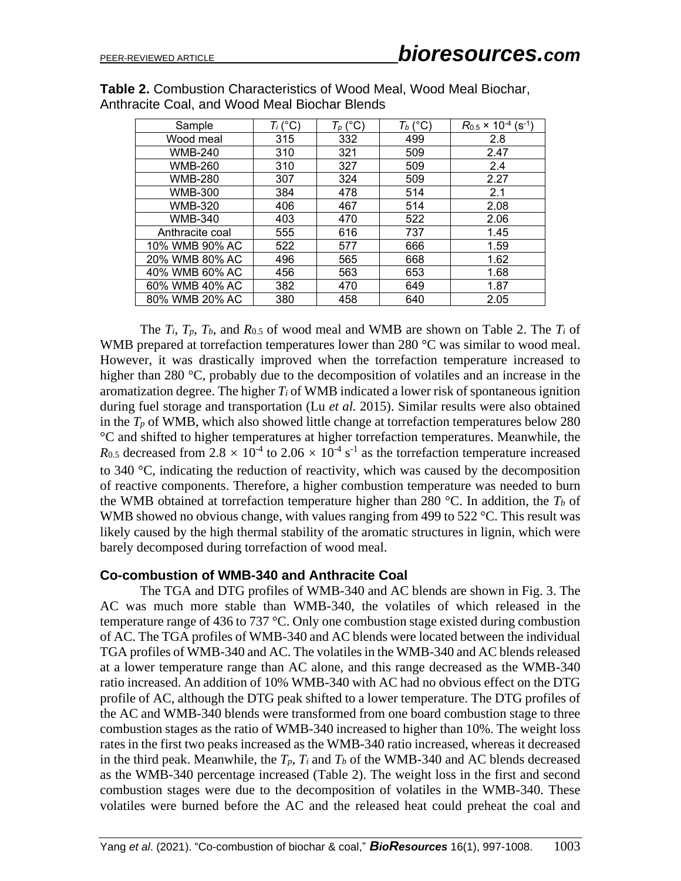| Sample          | $T_i$ (°C) | $T_p$ (°C) | $T_b$ (°C) | $R_{0.5}$ × 10 <sup>-4</sup> (s <sup>-1</sup> ) |
|-----------------|------------|------------|------------|-------------------------------------------------|
| Wood meal       | 315        | 332        | 499        | 2.8                                             |
| <b>WMB-240</b>  | 310        | 321        | 509        | 2.47                                            |
| <b>WMB-260</b>  | 310        | 327        | 509        | 2.4                                             |
| <b>WMB-280</b>  | 307        | 324        | 509        | 2.27                                            |
| <b>WMB-300</b>  | 384        | 478        | 514        | 2.1                                             |
| <b>WMB-320</b>  | 406        | 467        | 514        | 2.08                                            |
| <b>WMB-340</b>  | 403        | 470        | 522        | 2.06                                            |
| Anthracite coal | 555        | 616        | 737        | 1.45                                            |
| 10% WMB 90% AC  | 522        | 577        | 666        | 1.59                                            |
| 20% WMB 80% AC  | 496        | 565        | 668        | 1.62                                            |
| 40% WMB 60% AC  | 456        | 563        | 653        | 1.68                                            |
| 60% WMB 40% AC  | 382        | 470        | 649        | 1.87                                            |
| 80% WMB 20% AC  | 380        | 458        | 640        | 2.05                                            |

**Table 2.** Combustion Characteristics of Wood Meal, Wood Meal Biochar, Anthracite Coal, and Wood Meal Biochar Blends

The *Ti*, *Tp*, *Tb*, and *R*0.5 of wood meal and WMB are shown on Table 2. The *T<sup>i</sup>* of WMB prepared at torrefaction temperatures lower than 280 °C was similar to wood meal. However, it was drastically improved when the torrefaction temperature increased to higher than 280 °C, probably due to the decomposition of volatiles and an increase in the aromatization degree. The higher *T<sup>i</sup>* of WMB indicated a lower risk of spontaneous ignition during fuel storage and transportation (Lu *et al.* 2015). Similar results were also obtained in the  $T_p$  of WMB, which also showed little change at torrefaction temperatures below 280 °C and shifted to higher temperatures at higher torrefaction temperatures. Meanwhile, the  $R_{0.5}$  decreased from 2.8  $\times$  10<sup>-4</sup> to 2.06  $\times$  10<sup>-4</sup> s<sup>-1</sup> as the torrefaction temperature increased to 340 °C, indicating the reduction of reactivity, which was caused by the decomposition of reactive components. Therefore, a higher combustion temperature was needed to burn the WMB obtained at torrefaction temperature higher than 280 °C. In addition, the *T<sup>b</sup>* of WMB showed no obvious change, with values ranging from 499 to 522 °C. This result was likely caused by the high thermal stability of the aromatic structures in lignin, which were barely decomposed during torrefaction of wood meal.

# **Co-combustion of WMB-340 and Anthracite Coal**

The TGA and DTG profiles of WMB-340 and AC blends are shown in Fig. 3. The AC was much more stable than WMB-340, the volatiles of which released in the temperature range of 436 to 737 °C. Only one combustion stage existed during combustion of AC. The TGA profiles of WMB-340 and AC blends were located between the individual TGA profiles of WMB-340 and AC. The volatiles in the WMB-340 and AC blends released at a lower temperature range than AC alone, and this range decreased as the WMB-340 ratio increased. An addition of 10% WMB-340 with AC had no obvious effect on the DTG profile of AC, although the DTG peak shifted to a lower temperature. The DTG profiles of the AC and WMB-340 blends were transformed from one board combustion stage to three combustion stages as the ratio of WMB-340 increased to higher than 10%. The weight loss rates in the first two peaks increased as the WMB-340 ratio increased, whereas it decreased in the third peak. Meanwhile, the  $T_p$ ,  $T_i$  and  $T_b$  of the WMB-340 and AC blends decreased as the WMB-340 percentage increased (Table 2). The weight loss in the first and second combustion stages were due to the decomposition of volatiles in the WMB-340. These volatiles were burned before the AC and the released heat could preheat the coal and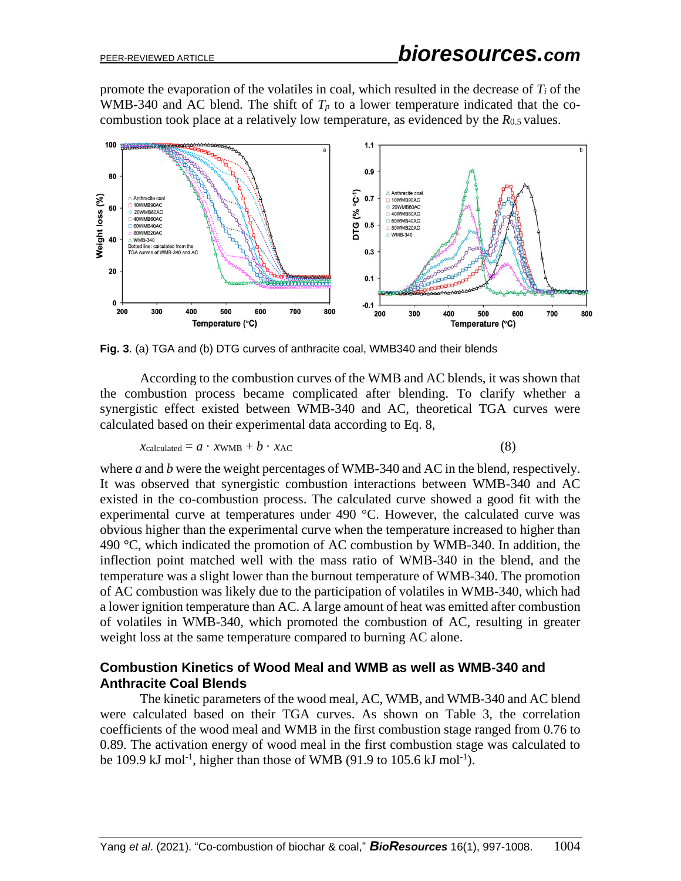promote the evaporation of the volatiles in coal, which resulted in the decrease of *T<sup>i</sup>* of the WMB-340 and AC blend. The shift of  $T_p$  to a lower temperature indicated that the cocombustion took place at a relatively low temperature, as evidenced by the *R*0.5 values.



**Fig. 3**. (a) TGA and (b) DTG curves of anthracite coal, WMB340 and their blends

According to the combustion curves of the WMB and AC blends, it was shown that the combustion process became complicated after blending. To clarify whether a synergistic effect existed between WMB-340 and AC, theoretical TGA curves were calculated based on their experimental data according to Eq. 8,

$$
Xcalculated = a \cdot xWMB + b \cdot xAC
$$
 (8)

where *a* and *b* were the weight percentages of WMB-340 and AC in the blend, respectively. It was observed that synergistic combustion interactions between WMB-340 and AC existed in the co-combustion process. The calculated curve showed a good fit with the experimental curve at temperatures under 490 °C. However, the calculated curve was obvious higher than the experimental curve when the temperature increased to higher than 490  $\degree$ C, which indicated the promotion of AC combustion by WMB-340. In addition, the inflection point matched well with the mass ratio of WMB-340 in the blend, and the temperature was a slight lower than the burnout temperature of WMB-340. The promotion of AC combustion was likely due to the participation of volatiles in WMB-340, which had a lower ignition temperature than AC. A large amount of heat was emitted after combustion of volatiles in WMB-340, which promoted the combustion of AC, resulting in greater weight loss at the same temperature compared to burning AC alone.

# **Combustion Kinetics of Wood Meal and WMB as well as WMB-340 and Anthracite Coal Blends**

The kinetic parameters of the wood meal, AC, WMB, and WMB-340 and AC blend were calculated based on their TGA curves. As shown on Table 3, the correlation coefficients of the wood meal and WMB in the first combustion stage ranged from 0.76 to 0.89. The activation energy of wood meal in the first combustion stage was calculated to be 109.9 kJ mol<sup>-1</sup>, higher than those of WMB (91.9 to 105.6 kJ mol<sup>-1</sup>).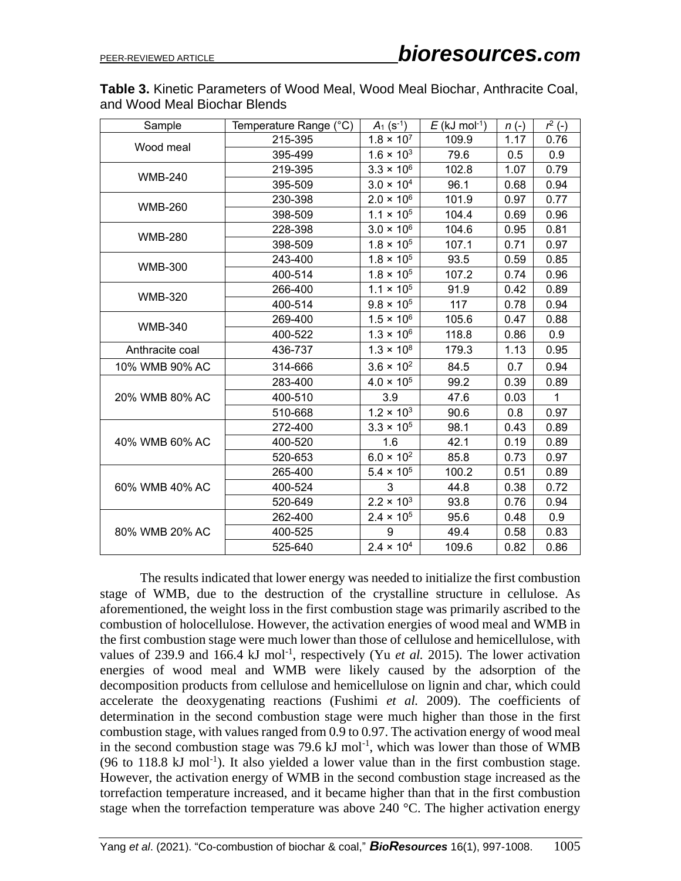**Table 3.** Kinetic Parameters of Wood Meal, Wood Meal Biochar, Anthracite Coal, and Wood Meal Biochar Blends

| Sample          | Temperature Range (°C) | $A_1$ (s <sup>-1</sup> ) | $E$ (kJ mol <sup>-1</sup> ) | $n(-)$ | $r^2$ (-) |
|-----------------|------------------------|--------------------------|-----------------------------|--------|-----------|
|                 | 215-395                | $1.8 \times 10^{7}$      | 109.9                       | 1.17   | 0.76      |
| Wood meal       | 395-499                | $1.6 \times 10^{3}$      | 79.6                        | 0.5    | 0.9       |
| <b>WMB-240</b>  | 219-395                | $3.3 \times 10^{6}$      | 102.8                       | 1.07   | 0.79      |
|                 | 395-509                | $3.0 \times 10^{4}$      | 96.1                        | 0.68   | 0.94      |
| <b>WMB-260</b>  | 230-398                | $2.0 \times 10^{6}$      | 101.9                       | 0.97   | 0.77      |
|                 | 398-509                | $1.1 \times 10^{5}$      | 104.4                       | 0.69   | 0.96      |
| <b>WMB-280</b>  | 228-398                | $3.0 \times 10^{6}$      | 104.6                       | 0.95   | 0.81      |
|                 | 398-509                | $1.8 \times 10^{5}$      | 107.1                       | 0.71   | 0.97      |
| <b>WMB-300</b>  | 243-400                | $1.8 \times 10^{5}$      | 93.5                        | 0.59   | 0.85      |
|                 | 400-514                | $1.8 \times 10^{5}$      | 107.2                       | 0.74   | 0.96      |
| <b>WMB-320</b>  | 266-400                | $1.1 \times 10^{5}$      | 91.9                        | 0.42   | 0.89      |
|                 | 400-514                | $9.8 \times 10^{5}$      | 117                         | 0.78   | 0.94      |
| <b>WMB-340</b>  | 269-400                | $1.5 \times 10^{6}$      | 105.6                       | 0.47   | 0.88      |
|                 | 400-522                | $1.3 \times 10^{6}$      | 118.8                       | 0.86   | 0.9       |
| Anthracite coal | 436-737                | $1.3 \times 10^{8}$      | 179.3                       | 1.13   | 0.95      |
| 10% WMB 90% AC  | 314-666                | $3.6 \times 10^{2}$      | 84.5                        | 0.7    | 0.94      |
|                 | 283-400                | $4.0 \times 10^{5}$      | 99.2                        | 0.39   | 0.89      |
| 20% WMB 80% AC  | 400-510                | 3.9                      | 47.6                        | 0.03   | 1         |
|                 | 510-668                | $1.2 \times 10^{3}$      | 90.6                        | 0.8    | 0.97      |
|                 | 272-400                | $3.3 \times 10^{5}$      | 98.1                        | 0.43   | 0.89      |
| 40% WMB 60% AC  | 400-520                | 1.6                      | 42.1                        | 0.19   | 0.89      |
|                 | 520-653                | $6.0 \times 10^{2}$      | 85.8                        | 0.73   | 0.97      |
|                 | 265-400                | $5.4 \times 10^{5}$      | 100.2                       | 0.51   | 0.89      |
| 60% WMB 40% AC  | 400-524                | 3                        | 44.8                        | 0.38   | 0.72      |
|                 | 520-649                | $2.2 \times 10^{3}$      | 93.8                        | 0.76   | 0.94      |
|                 | 262-400                | $2.4 \times 10^{5}$      | 95.6                        | 0.48   | 0.9       |
| 80% WMB 20% AC  | 400-525                | 9                        | 49.4                        | 0.58   | 0.83      |
|                 | 525-640                | $2.4 \times 10^{4}$      | 109.6                       | 0.82   | 0.86      |

The results indicated that lower energy was needed to initialize the first combustion stage of WMB, due to the destruction of the crystalline structure in cellulose. As aforementioned, the weight loss in the first combustion stage was primarily ascribed to the combustion of holocellulose. However, the activation energies of wood meal and WMB in the first combustion stage were much lower than those of cellulose and hemicellulose, with values of 239.9 and 166.4 kJ mol<sup>-1</sup>, respectively (Yu *et al.* 2015). The lower activation energies of wood meal and WMB were likely caused by the adsorption of the decomposition products from cellulose and hemicellulose on lignin and char, which could accelerate the deoxygenating reactions (Fushimi *et al.* 2009). The coefficients of determination in the second combustion stage were much higher than those in the first combustion stage, with values ranged from 0.9 to 0.97. The activation energy of wood meal in the second combustion stage was 79.6  $kJ$  mol<sup>-1</sup>, which was lower than those of WMB  $(96 \text{ to } 118.8 \text{ kJ mol}^{-1})$ . It also yielded a lower value than in the first combustion stage. However, the activation energy of WMB in the second combustion stage increased as the torrefaction temperature increased, and it became higher than that in the first combustion stage when the torrefaction temperature was above 240  $^{\circ}$ C. The higher activation energy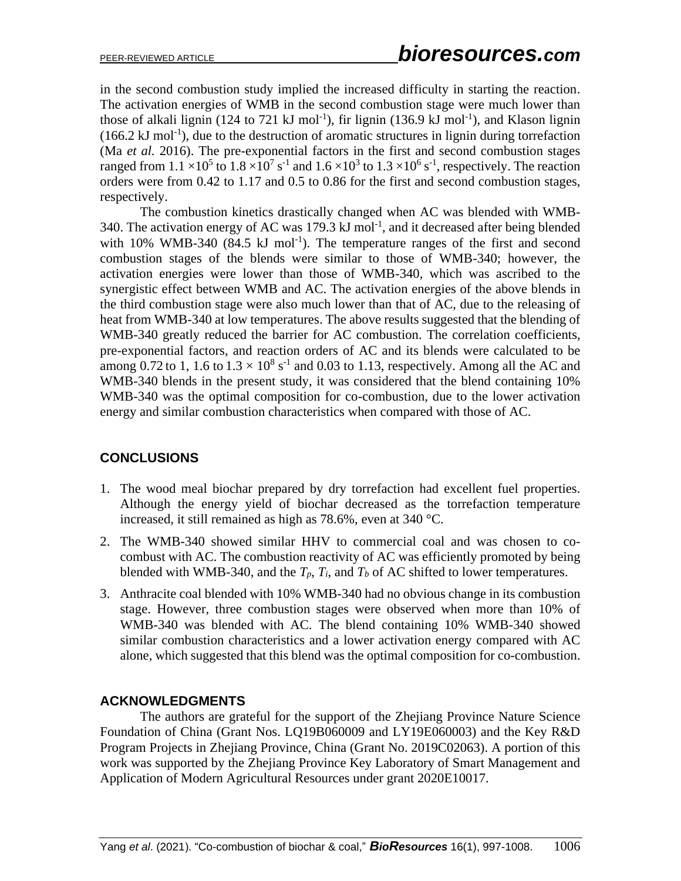in the second combustion study implied the increased difficulty in starting the reaction. The activation energies of WMB in the second combustion stage were much lower than those of alkali lignin (124 to 721 kJ mol<sup>-1</sup>), fir lignin (136.9 kJ mol<sup>-1</sup>), and Klason lignin  $(166.2 \text{ kJ mol}^{-1})$ , due to the destruction of aromatic structures in lignin during torrefaction (Ma *et al.* 2016). The pre-exponential factors in the first and second combustion stages ranged from  $1.1 \times 10^5$  to  $1.8 \times 10^7$  s<sup>-1</sup> and  $1.6 \times 10^3$  to  $1.3 \times 10^6$  s<sup>-1</sup>, respectively. The reaction orders were from 0.42 to 1.17 and 0.5 to 0.86 for the first and second combustion stages, respectively.

The combustion kinetics drastically changed when AC was blended with WMB-340. The activation energy of AC was 179.3 kJ mol<sup>-1</sup>, and it decreased after being blended with  $10\%$  WMB-340 (84.5 kJ mol<sup>-1</sup>). The temperature ranges of the first and second combustion stages of the blends were similar to those of WMB-340; however, the activation energies were lower than those of WMB-340, which was ascribed to the synergistic effect between WMB and AC. The activation energies of the above blends in the third combustion stage were also much lower than that of AC, due to the releasing of heat from WMB-340 at low temperatures. The above results suggested that the blending of WMB-340 greatly reduced the barrier for AC combustion. The correlation coefficients, pre-exponential factors, and reaction orders of AC and its blends were calculated to be among 0.72 to 1, 1.6 to  $1.3 \times 10^8$  s<sup>-1</sup> and 0.03 to 1.13, respectively. Among all the AC and WMB-340 blends in the present study, it was considered that the blend containing 10% WMB-340 was the optimal composition for co-combustion, due to the lower activation energy and similar combustion characteristics when compared with those of AC.

# **CONCLUSIONS**

- 1. The wood meal biochar prepared by dry torrefaction had excellent fuel properties. Although the energy yield of biochar decreased as the torrefaction temperature increased, it still remained as high as 78.6%, even at 340 °C.
- 2. The WMB-340 showed similar HHV to commercial coal and was chosen to cocombust with AC. The combustion reactivity of AC was efficiently promoted by being blended with WMB-340, and the  $T_p$ ,  $T_i$ , and  $T_b$  of AC shifted to lower temperatures.
- 3. Anthracite coal blended with 10% WMB-340 had no obvious change in its combustion stage. However, three combustion stages were observed when more than 10% of WMB-340 was blended with AC. The blend containing 10% WMB-340 showed similar combustion characteristics and a lower activation energy compared with AC alone, which suggested that this blend was the optimal composition for co-combustion.

# **ACKNOWLEDGMENTS**

The authors are grateful for the support of the Zhejiang Province Nature Science Foundation of China (Grant Nos. LQ19B060009 and LY19E060003) and the Key R&D Program Projects in Zhejiang Province, China (Grant No. 2019C02063). A portion of this work was supported by the Zhejiang Province Key Laboratory of Smart Management and Application of Modern Agricultural Resources under grant 2020E10017.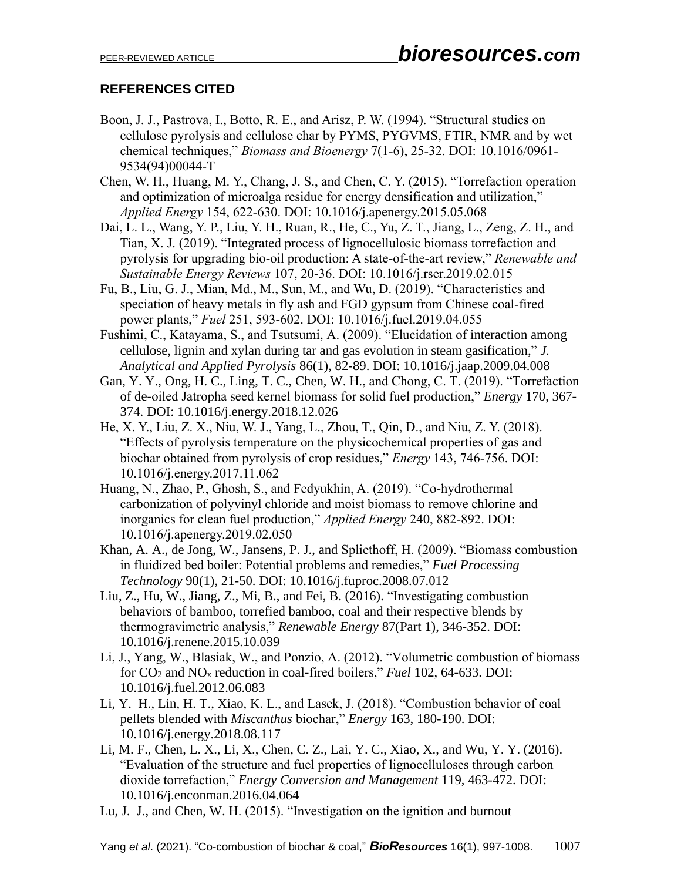# **REFERENCES CITED**

- Boon, J. J., Pastrova, I., Botto, R. E., and Arisz, P. W. (1994). "Structural studies on cellulose pyrolysis and cellulose char by PYMS, PYGVMS, FTIR, NMR and by wet chemical techniques," *Biomass and Bioenergy* 7(1-6), 25-32. DOI: 10.1016/0961- 9534(94)00044-T
- Chen, W. H., Huang, M. Y., Chang, J. S., and Chen, C. Y. (2015). "Torrefaction operation and optimization of microalga residue for energy densification and utilization," *Applied Energy* 154, 622-630. DOI: 10.1016/j.apenergy.2015.05.068
- Dai, L. L., Wang, Y. P., Liu, Y. H., Ruan, R., He, C., Yu, Z. T., Jiang, L., Zeng, Z. H., and Tian, X. J. (2019). "Integrated process of lignocellulosic biomass torrefaction and pyrolysis for upgrading bio-oil production: A state-of-the-art review," *Renewable and Sustainable Energy Reviews* 107, 20-36. DOI: 10.1016/j.rser.2019.02.015
- Fu, B., Liu, G. J., Mian, Md., M., Sun, M., and Wu, D. (2019). "Characteristics and speciation of heavy metals in fly ash and FGD gypsum from Chinese coal-fired power plants," *Fuel* 251, 593-602. DOI: 10.1016/j.fuel.2019.04.055
- Fushimi, C., Katayama, S., and Tsutsumi, A. (2009). "Elucidation of interaction among cellulose, lignin and xylan during tar and gas evolution in steam gasification," *J. Analytical and Applied Pyrolysis* 86(1), 82-89. DOI: 10.1016/j.jaap.2009.04.008
- Gan, Y. Y., Ong, H. C., Ling, T. C., Chen, W. H., and Chong, C. T. (2019). "Torrefaction of de-oiled Jatropha seed kernel biomass for solid fuel production," *Energy* 170, 367- 374. DOI: 10.1016/j.energy.2018.12.026
- He, X. Y., Liu, Z. X., Niu, W. J., Yang, L., Zhou, T., Qin, D., and Niu, Z. Y. (2018). "Effects of pyrolysis temperature on the physicochemical properties of gas and biochar obtained from pyrolysis of crop residues," *Energy* 143, 746-756. DOI: 10.1016/j.energy.2017.11.062
- Huang, N., Zhao, P., Ghosh, S., and Fedyukhin, A. (2019). "Co-hydrothermal carbonization of polyvinyl chloride and moist biomass to remove chlorine and inorganics for clean fuel production," *Applied Energy* 240, 882-892. DOI: 10.1016/j.apenergy.2019.02.050
- Khan, A. A., de Jong, W., Jansens, P. J., and Spliethoff, H. (2009). "Biomass combustion in fluidized bed boiler: Potential problems and remedies," *Fuel Processing Technology* 90(1), 21-50. DOI: 10.1016/j.fuproc.2008.07.012
- Liu, Z., Hu, W., Jiang, Z., Mi, B., and Fei, B. (2016). "Investigating combustion behaviors of bamboo, torrefied bamboo, coal and their respective blends by thermogravimetric analysis," *Renewable Energy* 87(Part 1), 346-352. DOI: [10.1016/j.renene.2015.10.039](https://doi.org/10.1016/j.renene.2015.10.039)
- Li, J., Yang, W., Blasiak, W., and Ponzio, A. (2012). "Volumetric combustion of biomass for CO<sup>2</sup> and NO<sup>x</sup> reduction in coal-fired boilers," *Fuel* 102, 64-633. DOI: 10.1016/j.fuel.2012.06.083
- Li, Y. H., Lin, H. T., Xiao, K. L., and Lasek, J. (2018). "Combustion behavior of coal pellets blended with *Miscanthus* biochar," *Energy* 163, 180-190. DOI: 10.1016/j.energy.2018.08.117
- Li, M. F., Chen, L. X., Li, X., Chen, C. Z., Lai, Y. C., Xiao, X., and Wu, Y. Y. (2016). "Evaluation of the structure and fuel properties of lignocelluloses through carbon dioxide torrefaction," *Energy Conversion and Management* 119, 463-472. DOI: 10.1016/j.enconman.2016.04.064
- Lu, J. J., and Chen, W. H. (2015). "Investigation on the ignition and burnout